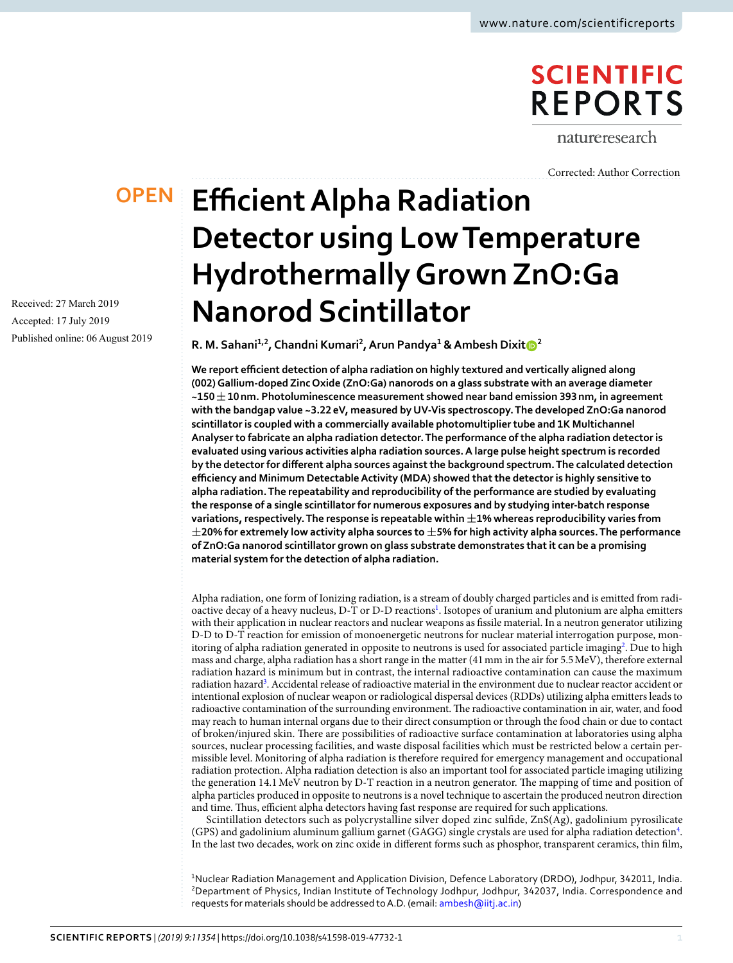## **SCIENTIFIC REPORTS**

natureresearch

[Corrected: Author Correction](https://doi.org/10.1038/s41598-020-60513-5)

### **OPEN**

Received: 27 March 2019 Accepted: 17 July 2019 Published online: 06 August 2019

# **Efficient Alpha Radiation Detector using Low Temperature Hydrothermally Grown ZnO:Ga Nanorod Scintillator**

**R. M. Sahani1,2, Chandni Kumari<sup>2</sup> , Arun Pandya<sup>1</sup> & Ambesh Dixit<sup>2</sup>**

**We report efficient detection of alpha radiation on highly textured and vertically aligned along (002) Gallium-doped Zinc Oxide (ZnO:Ga) nanorods on a glass substrate with an average diameter ~150 ± 10 nm. Photoluminescence measurement showed near band emission 393 nm, in agreement with the bandgap value ~3.22 eV, measured by UV-Vis spectroscopy. The developed ZnO:Ga nanorod scintillator is coupled with a commercially available photomultiplier tube and 1K Multichannel Analyser to fabricate an alpha radiation detector. The performance of the alpha radiation detector is evaluated using various activities alpha radiation sources. A large pulse height spectrum is recorded by the detector for different alpha sources against the background spectrum. The calculated detection efficiency and Minimum Detectable Activity (MDA) showed that the detector is highly sensitive to alpha radiation. The repeatability and reproducibility of the performance are studied by evaluating the response of a single scintillator for numerous exposures and by studying inter-batch response variations, respectively. The response is repeatable within ±1% whereas reproducibility varies from ±20% for extremely low activity alpha sources to ±5% for high activity alpha sources. The performance of ZnO:Ga nanorod scintillator grown on glass substrate demonstrates that it can be a promising material system for the detection of alpha radiation.**

Alpha radiation, one form of Ionizing radiation, is a stream of doubly charged particles and is emitted from radi-oactive decay of a heavy nucleus, D-T or D-D reactions<sup>[1](#page-8-0)</sup>. Isotopes of uranium and plutonium are alpha emitters with their application in nuclear reactors and nuclear weapons as fissile material. In a neutron generator utilizing D-D to D-T reaction for emission of monoenergetic neutrons for nuclear material interrogation purpose, mon-itoring of alpha radiation generated in opposite to neutrons is used for associated particle imaging<sup>[2](#page-8-1)</sup>. Due to high mass and charge, alpha radiation has a short range in the matter (41 mm in the air for 5.5 MeV), therefore external radiation hazard is minimum but in contrast, the internal radioactive contamination can cause the maximum radiation hazard<sup>[3](#page-8-2)</sup>. Accidental release of radioactive material in the environment due to nuclear reactor accident or intentional explosion of nuclear weapon or radiological dispersal devices (RDDs) utilizing alpha emitters leads to radioactive contamination of the surrounding environment. The radioactive contamination in air, water, and food may reach to human internal organs due to their direct consumption or through the food chain or due to contact of broken/injured skin. There are possibilities of radioactive surface contamination at laboratories using alpha sources, nuclear processing facilities, and waste disposal facilities which must be restricted below a certain permissible level. Monitoring of alpha radiation is therefore required for emergency management and occupational radiation protection. Alpha radiation detection is also an important tool for associated particle imaging utilizing the generation 14.1 MeV neutron by D-T reaction in a neutron generator. The mapping of time and position of alpha particles produced in opposite to neutrons is a novel technique to ascertain the produced neutron direction and time. Thus, efficient alpha detectors having fast response are required for such applications.

Scintillation detectors such as polycrystalline silver doped zinc sulfide, ZnS(Ag), gadolinium pyrosilicate (GPS) and gadolinium aluminum gallium garnet (GAGG) single crystals are used for alpha radiation detection[4](#page-8-3) . In the last two decades, work on zinc oxide in different forms such as phosphor, transparent ceramics, thin film,

<sup>1</sup>Nuclear Radiation Management and Application Division, Defence Laboratory (DRDO), Jodhpur, 342011, India. <sup>2</sup>Department of Physics, Indian Institute of Technology Jodhpur, Jodhpur, 342037, India. Correspondence and requests for materials should be addressed to A.D. (email: [ambesh@iitj.ac.in](mailto:ambesh@iitj.ac.in))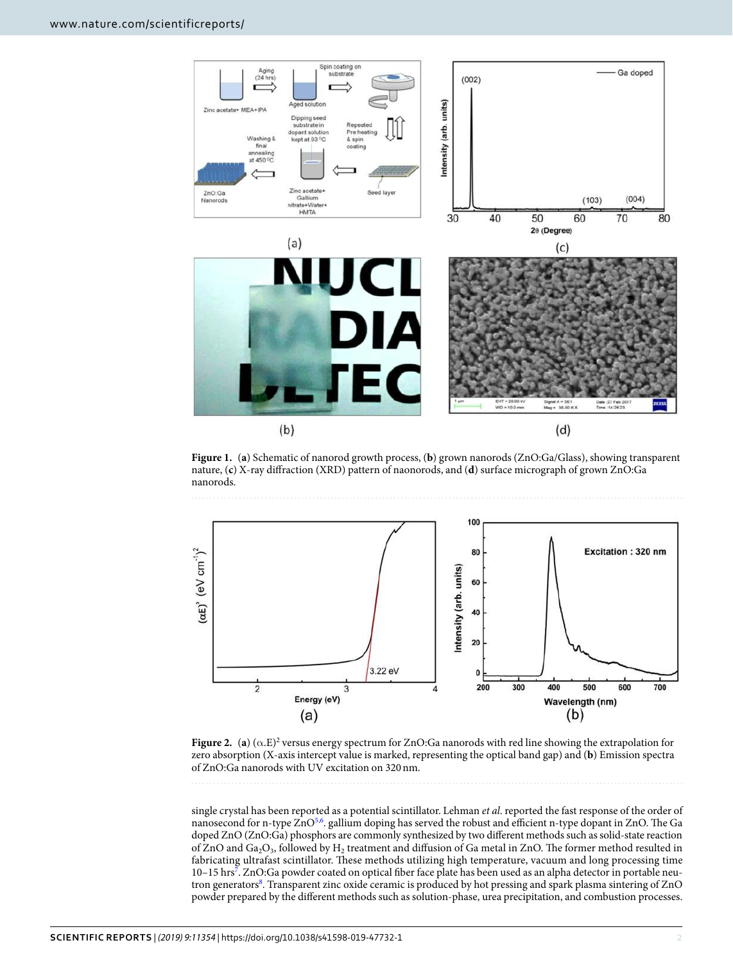

<span id="page-1-0"></span>**Figure 1.** (**a**) Schematic of nanorod growth process, (**b**) grown nanorods (ZnO:Ga/Glass), showing transparent nature, (**c**) X-ray diffraction (XRD) pattern of naonorods, and (**d**) surface micrograph of grown ZnO:Ga nanorods.



<span id="page-1-1"></span>**Figure 2.** (a) ( $\alpha$ .E)<sup>2</sup> versus energy spectrum for ZnO:Ga nanorods with red line showing the extrapolation for zero absorption (X-axis intercept value is marked, representing the optical band gap) and (**b**) Emission spectra of ZnO:Ga nanorods with UV excitation on 320 nm.

single crystal has been reported as a potential scintillator. Lehman et al. reported the fast response of the order of nanosecond for n-type ZnO<sup>[5,](#page-8-4)[6](#page-8-5)</sup>. gallium doping has served the robust and efficient n-type dopant in ZnO. The Ga doped ZnO (ZnO:Ga) phosphors are commonly synthesized by two different methods such as solid-state reaction of ZnO and  $Ga_2O_3$ , followed by  $H_2$  treatment and diffusion of Ga metal in ZnO. The former method resulted in fabricating ultrafast scintillator. These methods utilizing high temperature, vacuum and long processing time 10-15 hrs<sup>[7](#page-8-6)</sup>. ZnO:Ga powder coated on optical fiber face plate has been used as an alpha detector in portable neu-tron generators<sup>[8](#page-8-7)</sup>. Transparent zinc oxide ceramic is produced by hot pressing and spark plasma sintering of ZnO powder prepared by the different methods such as solution-phase, urea precipitation, and combustion processes.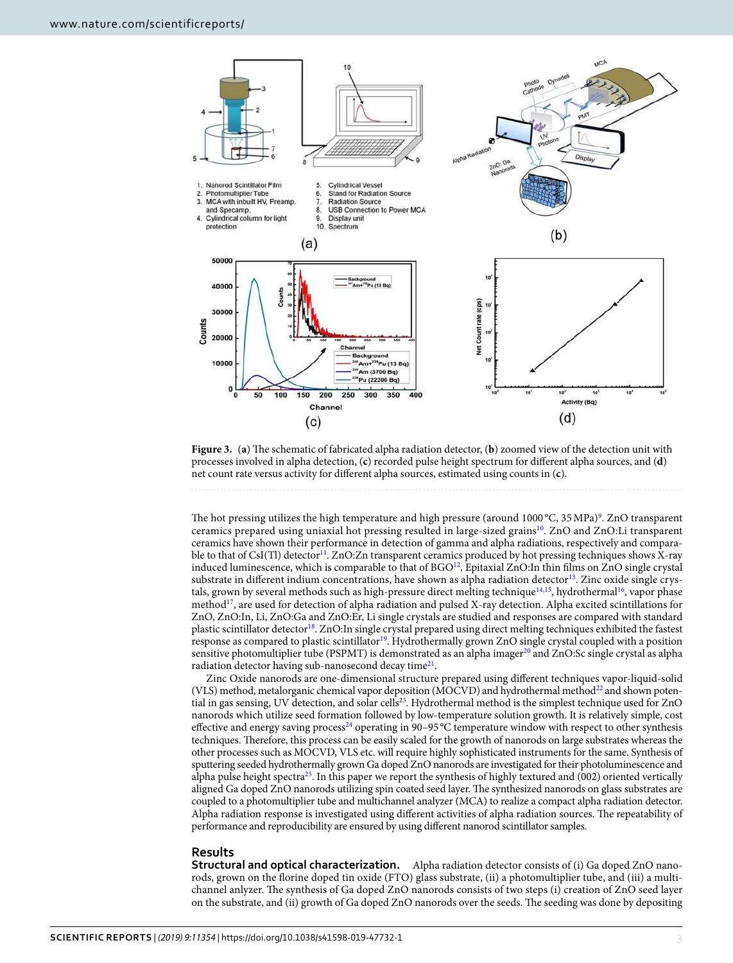

<span id="page-2-0"></span>**Figure 3.** (**a**) The schematic of fabricated alpha radiation detector, (**b**) zoomed view of the detection unit with processes involved in alpha detection, (**c**) recorded pulse height spectrum for different alpha sources, and (**d**) net count rate versus activity for different alpha sources, estimated using counts in (**c**).

The hot pressing utilizes the high temperature and high pressure (around 1000 °C, 35 MPa)<sup>[9](#page-8-8)</sup>. ZnO transparent ceramics prepared using uniaxial hot pressing resulted in large-sized grains[10](#page-8-9). ZnO and ZnO:Li transparent ceramics have shown their performance in detection of gamma and alpha radiations, respectively and compara-ble to that of CsI(Tl) detector<sup>[11](#page-8-10)</sup>. ZnO:Zn transparent ceramics produced by hot pressing techniques shows X-ray induced luminescence, which is comparable to that of BGO<sup>[12](#page-8-11)</sup>. Epitaxial ZnO:In thin films on ZnO single crystal substrate in different indium concentrations, have shown as alpha radiation detector<sup>[13](#page-8-12)</sup>. Zinc oxide single crys-tals, grown by several methods such as high-pressure direct melting technique<sup>[14](#page-8-13)[,15](#page-8-14)</sup>, hydrothermal<sup>[16](#page-8-15)</sup>, vapor phase method[17](#page-8-16), are used for detection of alpha radiation and pulsed X-ray detection. Alpha excited scintillations for ZnO, ZnO:In, Li, ZnO:Ga and ZnO:Er, Li single crystals are studied and responses are compared with standard plastic scintillator detector<sup>[18](#page-8-17)</sup>. ZnO:In single crystal prepared using direct melting techniques exhibited the fastest response as compared to plastic scintillator<sup>[19](#page-8-18)</sup>. Hydrothermally grown ZnO single crystal coupled with a position sensitive photomultiplier tube (PSPMT) is demonstrated as an alpha imager<sup>[20](#page-8-19)</sup> and ZnO:Sc single crystal as alpha radiation detector having sub-nanosecond decay time<sup>[21](#page-8-20)</sup>.

Zinc Oxide nanorods are one-dimensional structure prepared using different techniques vapor-liquid-solid (VLS) method, metalorganic chemical vapor deposition (MOCVD) and hydrothermal method<sup>[22](#page-8-21)</sup> and shown poten-tial in gas sensing, UV detection, and solar cells<sup>[23](#page-8-22)</sup>. Hydrothermal method is the simplest technique used for ZnO nanorods which utilize seed formation followed by low-temperature solution growth. It is relatively simple, cost effective and energy saving process<sup>[24](#page-8-23)</sup> operating in 90–95 °C temperature window with respect to other synthesis techniques. Therefore, this process can be easily scaled for the growth of nanorods on large substrates whereas the other processes such as MOCVD, VLS etc. will require highly sophisticated instruments for the same. Synthesis of sputtering seeded hydrothermally grown Ga doped ZnO nanorods are investigated for their photoluminescence and alpha pulse height spectra<sup>[25](#page-8-24)</sup>. In this paper we report the synthesis of highly textured and (002) oriented vertically aligned Ga doped ZnO nanorods utilizing spin coated seed layer. The synthesized nanorods on glass substrates are coupled to a photomultiplier tube and multichannel analyzer (MCA) to realize a compact alpha radiation detector. Alpha radiation response is investigated using different activities of alpha radiation sources. The repeatability of performance and reproducibility are ensured by using different nanorod scintillator samples.

#### **Results**

**Structural and optical characterization.** Alpha radiation detector consists of (i) Ga doped ZnO nanorods, grown on the florine doped tin oxide (FTO) glass substrate, (ii) a photomultiplier tube, and (iii) a multichannel anlyzer. The synthesis of Ga doped ZnO nanorods consists of two steps (i) creation of ZnO seed layer on the substrate, and (ii) growth of Ga doped ZnO nanorods over the seeds. The seeding was done by depositing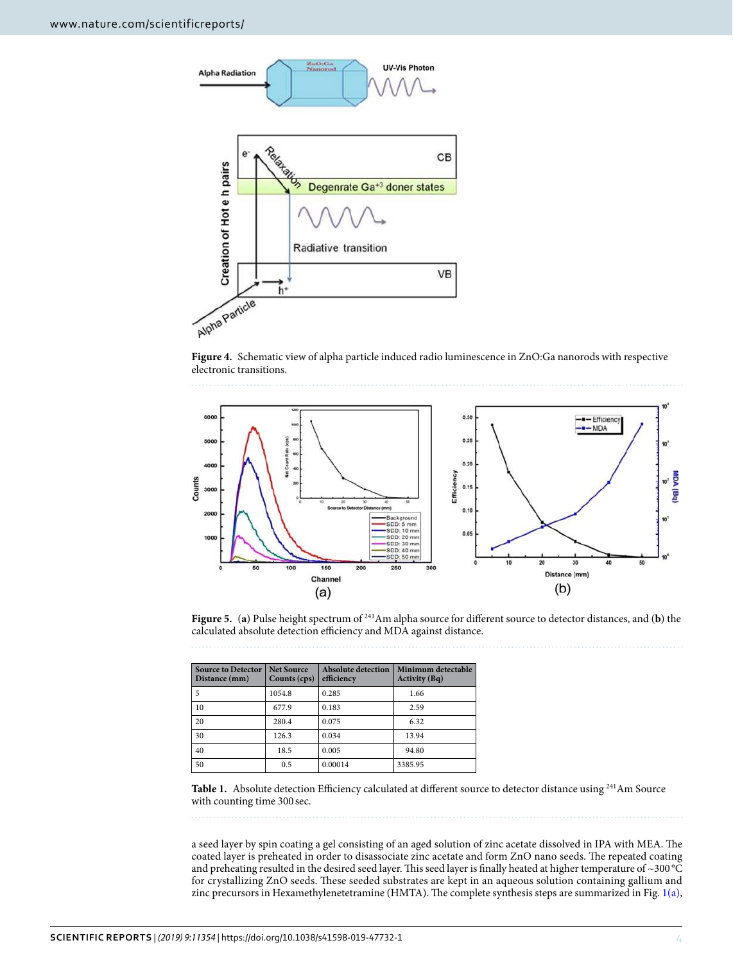

<span id="page-3-0"></span>**Figure 4.** Schematic view of alpha particle induced radio luminescence in ZnO:Ga nanorods with respective electronic transitions.



<span id="page-3-1"></span>**Figure 5.** (**a**) Pulse height spectrum of <sup>241</sup>Am alpha source for different source to detector distances, and (**b**) the calculated absolute detection efficiency and MDA against distance.

<span id="page-3-2"></span>

| <b>Source to Detector</b><br>Distance (mm) | <b>Net Source</b><br>Counts (cps) | Absolute detection<br>efficiency | Minimum detectable<br><b>Activity</b> (Bq) |
|--------------------------------------------|-----------------------------------|----------------------------------|--------------------------------------------|
| 5                                          | 1054.8                            | 0.285                            | 1.66                                       |
| 10                                         | 677.9                             | 0.183                            | 2.59                                       |
| 20                                         | 280.4                             | 0.075                            | 6.32                                       |
| 30                                         | 126.3                             | 0.034                            | 13.94                                      |
| 40                                         | 18.5                              | 0.005                            | 94.80                                      |
| 50                                         | 0.5                               | 0.00014                          | 3385.95                                    |



Table 1. Absolute detection Efficiency calculated at different source to detector distance using <sup>241</sup>Am Source with counting time 300 sec.

a seed layer by spin coating a gel consisting of an aged solution of zinc acetate dissolved in IPA with MEA. The coated layer is preheated in order to disassociate zinc acetate and form ZnO nano seeds. The repeated coating and preheating resulted in the desired seed layer. This seed layer is finally heated at higher temperature of ~300 °C for crystallizing ZnO seeds. These seeded substrates are kept in an aqueous solution containing gallium and zinc precursors in Hexamethylenetetramine (HMTA). The complete synthesis steps are summarized in Fig. [1\(a\),](#page-1-0)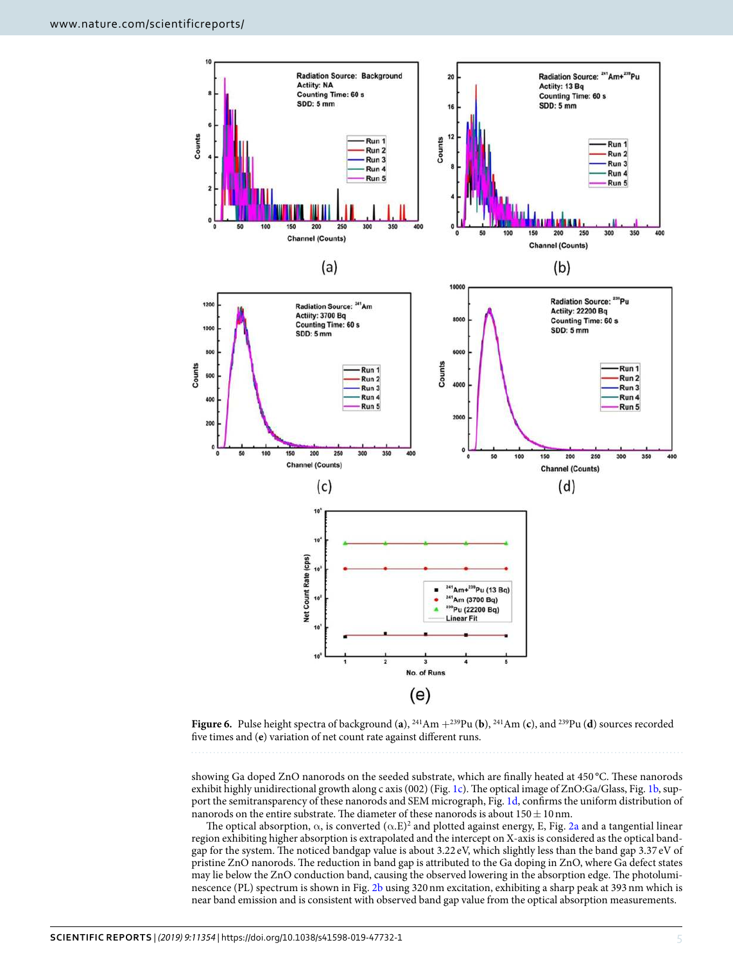

<span id="page-4-0"></span>**Figure 6.** Pulse height spectra of background (a),  $^{241}Am +^{239}Pu$  (b),  $^{241}Am$  (c), and  $^{239}Pu$  (d) sources recorded five times and (**e**) variation of net count rate against different runs.

showing Ga doped ZnO nanorods on the seeded substrate, which are finally heated at 450 °C. These nanorods exhibit highly unidirectional growth along c axis (002) (Fig. [1c\)](#page-1-0). The optical image of ZnO:Ga/Glass, Fig. [1b](#page-1-0), support the semitransparency of these nanorods and SEM micrograph, Fig. [1d,](#page-1-0) confirms the uniform distribution of nanorods on the entire substrate. The diameter of these nanorods is about  $150 \pm 10$  nm.

The optical absorption,  $\alpha$ , is converted  $(\alpha.E)^2$  and plotted against energy, E, Fig. [2a](#page-1-1) and a tangential linear region exhibiting higher absorption is extrapolated and the intercept on X-axis is considered as the optical bandgap for the system. The noticed bandgap value is about 3.22 eV, which slightly less than the band gap 3.37 eV of pristine ZnO nanorods. The reduction in band gap is attributed to the Ga doping in ZnO, where Ga defect states may lie below the ZnO conduction band, causing the observed lowering in the absorption edge. The photoluminescence (PL) spectrum is shown in Fig. [2b](#page-1-1) using 320 nm excitation, exhibiting a sharp peak at 393 nm which is near band emission and is consistent with observed band gap value from the optical absorption measurements.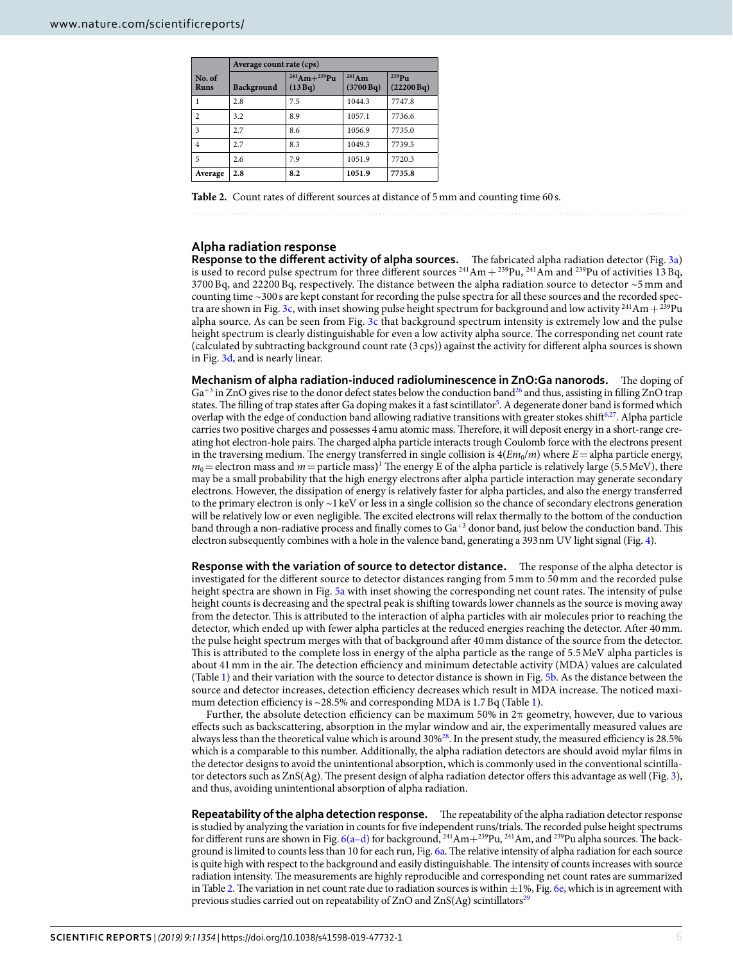<span id="page-5-0"></span>

|                       | Average count rate (cps) |                                    |                       |                        |  |
|-----------------------|--------------------------|------------------------------------|-----------------------|------------------------|--|
| No. of<br><b>Runs</b> | Background               | $^{241}$ Am+ $^{239}$ Pu<br>(13Bq) | $241$ Am<br>(3700 Bq) | $239$ Pu<br>(22200 Bq) |  |
| 1                     | 2.8                      | 7.5                                | 1044.3                | 7747.8                 |  |
| $\overline{c}$        | 3.2                      | 8.9                                | 1057.1                | 7736.6                 |  |
| 3                     | 2.7                      | 8.6                                | 1056.9                | 7735.0                 |  |
| 4                     | 2.7                      | 8.3                                | 1049.3                | 7739.5                 |  |
| 5                     | 2.6                      | 7.9                                | 1051.9                | 7720.3                 |  |
| Average               | 2.8                      | 8.2                                | 1051.9                | 7735.8                 |  |

Table 2. Count rates of different sources at distance of 5 mm and counting time 60 s.

#### **Alpha radiation response**

**Response to the different activity of alpha sources.** The fabricated alpha radiation detector (Fig. [3a\)](#page-2-0) is used to record pulse spectrum for three different sources  $^{241}Am + ^{239}Pu$ ,  $^{241}Am$  and  $^{239}Pu$  of activities 13 Bq, 3700 Bq, and 22200 Bq, respectively. The distance between the alpha radiation source to detector ~5 mm and counting time ~300 s are kept constant for recording the pulse spectra for all these sources and the recorded spec-tra are shown in Fig. [3c,](#page-2-0) with inset showing pulse height spectrum for background and low activity <sup>241</sup>Am +  $^{239}$ Pu alpha source. As can be seen from Fig. [3c](#page-2-0) that background spectrum intensity is extremely low and the pulse height spectrum is clearly distinguishable for even a low activity alpha source. The corresponding net count rate (calculated by subtracting background count rate (3 cps)) against the activity for different alpha sources is shown in Fig. [3d](#page-2-0), and is nearly linear.

**Mechanism of alpha radiation-induced radioluminescence in ZnO:Ga nanorods.** The doping of Ga<sup>+3</sup> in ZnO gives rise to the donor defect states below the conduction band<sup>[26](#page-8-25)</sup> and thus, assisting in filling ZnO trap states. The filling of trap states after Ga doping makes it a fast scintillator<sup>[5](#page-8-4)</sup>. A degenerate doner band is formed which overlap with the edge of conduction band allowing radiative transitions with greater stokes shift $6,27$  $6,27$ . Alpha particle carries two positive charges and possesses 4 amu atomic mass. Therefore, it will deposit energy in a short-range creating hot electron-hole pairs. The charged alpha particle interacts trough Coulomb force with the electrons present in the traversing medium. The energy transferred in single collision is  $4(Em_0/m)$  where  $E=$  alpha particle energy,  $m_0$  = electron mass and  $m$  = particle mass)<sup>[1](#page-8-0)</sup> The energy E of the alpha particle is relatively large (5.5 MeV), there may be a small probability that the high energy electrons after alpha particle interaction may generate secondary electrons. However, the dissipation of energy is relatively faster for alpha particles, and also the energy transferred to the primary electron is only  $\sim$ 1 keV or less in a single collision so the chance of secondary electrons generation will be relatively low or even negligible. The excited electrons will relax thermally to the bottom of the conduction band through a non-radiative process and finally comes to Ga<sup>+3</sup> donor band, just below the conduction band. This electron subsequently combines with a hole in the valence band, generating a 393 nm UV light signal (Fig. [4\)](#page-3-0).

**Response with the variation of source to detector distance.** The response of the alpha detector is investigated for the different source to detector distances ranging from 5 mm to 50 mm and the recorded pulse height spectra are shown in Fig. [5a](#page-3-1) with inset showing the corresponding net count rates. The intensity of pulse height counts is decreasing and the spectral peak is shifting towards lower channels as the source is moving away from the detector. This is attributed to the interaction of alpha particles with air molecules prior to reaching the detector, which ended up with fewer alpha particles at the reduced energies reaching the detector. After 40 mm. the pulse height spectrum merges with that of background after 40 mm distance of the source from the detector. This is attributed to the complete loss in energy of the alpha particle as the range of 5.5 MeV alpha particles is about 41 mm in the air. The detection efficiency and minimum detectable activity (MDA) values are calculated (Table [1](#page-3-2)) and their variation with the source to detector distance is shown in Fig. [5b.](#page-3-1) As the distance between the source and detector increases, detection efficiency decreases which result in MDA increase. The noticed maxi-mum detection efficiency is ~28.5% and corresponding MDA is [1](#page-3-2).7 Bq (Table 1).

Further, the absolute detection efficiency can be maximum 50% in  $2\pi$  geometry, however, due to various effects such as backscattering, absorption in the mylar window and air, the experimentally measured values are always less than the theoretical value which is around 30%[28](#page-8-27). In the present study, the measured efficiency is 28.5% which is a comparable to this number. Additionally, the alpha radiation detectors are should avoid mylar films in the detector designs to avoid the unintentional absorption, which is commonly used in the conventional scintillator detectors such as ZnS(Ag). The present design of alpha radiation detector offers this advantage as well (Fig. [3](#page-2-0)), and thus, avoiding unintentional absorption of alpha radiation.

**Repeatability of the alpha detection response.** The repeatability of the alpha radiation detector response is studied by analyzing the variation in counts for five independent runs/trials. The recorded pulse height spectrums for different runs are shown in Fig. [6\(a–d\)](#page-4-0) for background, <sup>241</sup>Am+<sup>239</sup>Pu, <sup>241</sup>Am, and <sup>239</sup>Pu alpha sources. The background is limited to counts less than 10 for each run, Fig. [6a](#page-4-0). The relative intensity of alpha radiation for each source is quite high with respect to the background and easily distinguishable. The intensity of counts increases with source radiation intensity. The measurements are highly reproducible and corresponding net count rates are summarized in Table [2.](#page-5-0) The variation in net count rate due to radiation sources is within  $\pm 1\%$ , Fig. [6e,](#page-4-0) which is in agreement with previous studies carried out on repeatability of  $ZnO$  and  $ZnS(Ag)$  scintillators<sup>[29](#page-8-28)</sup>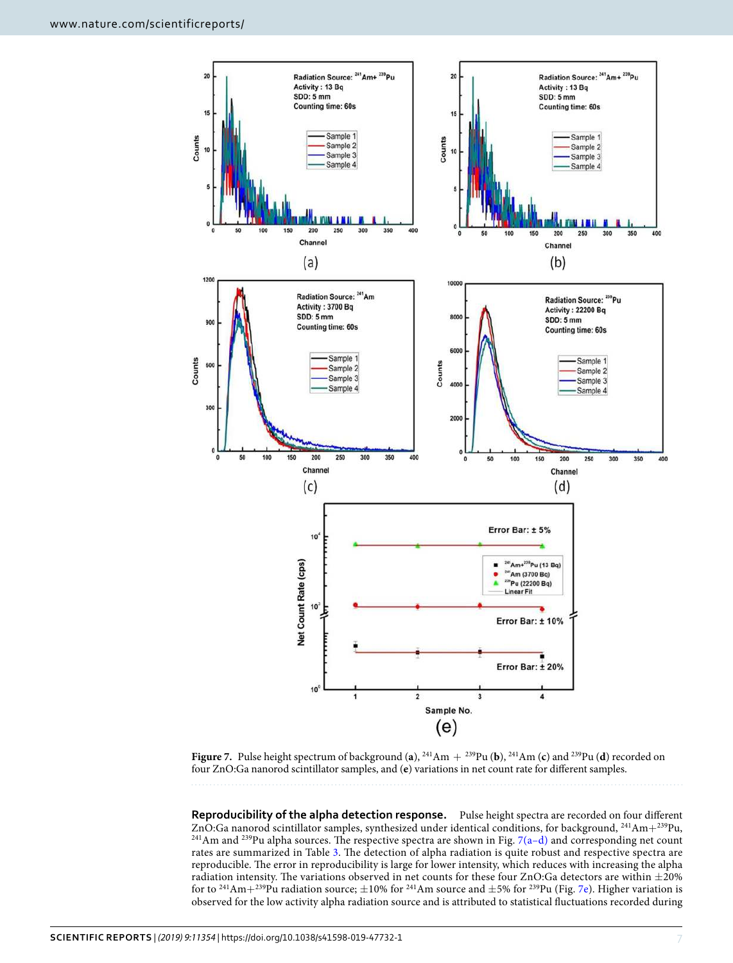

<span id="page-6-0"></span>**Figure 7.** Pulse height spectrum of background (a),  $^{241}Am + ^{239}Pu$  (b),  $^{241}Am$  (c) and  $^{239}Pu$  (d) recorded on four ZnO:Ga nanorod scintillator samples, and (**e**) variations in net count rate for different samples.

**Reproducibility of the alpha detection response.** Pulse height spectra are recorded on four different ZnO:Ga nanorod scintillator samples, synthesized under identical conditions, for background, <sup>241</sup>Am+<sup>239</sup>Pu, <sup>241</sup>Am and <sup>239</sup>Pu alpha sources. The respective spectra are shown in Fig. 7(a-d) and corresponding net count rates are summarized in Table [3.](#page-7-0) The detection of alpha radiation is quite robust and respective spectra are reproducible. The error in reproducibility is large for lower intensity, which reduces with increasing the alpha radiation intensity. The variations observed in net counts for these four ZnO:Ga detectors are within ±20% for to <sup>241</sup>Am+<sup>239</sup>Pu radiation source;  $\pm 10\%$  for <sup>241</sup>Am source and  $\pm 5\%$  for <sup>239</sup>Pu (Fig. [7e](#page-6-0)). Higher variation is observed for the low activity alpha radiation source and is attributed to statistical fluctuations recorded during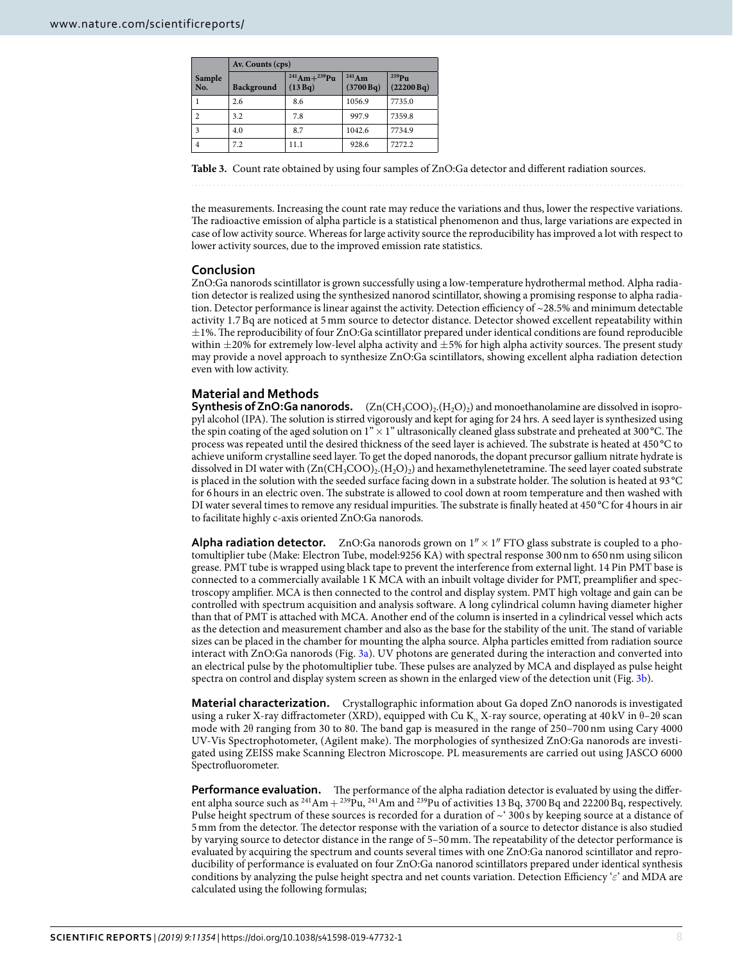<span id="page-7-0"></span>

|                | Av. Counts (cps)  |                              |                       |                        |  |  |
|----------------|-------------------|------------------------------|-----------------------|------------------------|--|--|
| Sample<br>No.  | <b>Background</b> | $241$ Am+ $239$ Pu<br>(13Bq) | $241$ Am<br>(3700 Bq) | $239$ Pu<br>(22200 Bq) |  |  |
| $\mathbf{1}$   | 2.6               | 8.6                          | 1056.9                | 7735.0                 |  |  |
| $\overline{2}$ | 3.2               | 7.8                          | 997.9                 | 7359.8                 |  |  |
| 3              | 4.0               | 8.7                          | 1042.6                | 7734.9                 |  |  |
| $\overline{4}$ | 7.2               | 11.1                         | 928.6                 | 7272.2                 |  |  |

**Table 3.** Count rate obtained by using four samples of ZnO:Ga detector and different radiation sources.

the measurements. Increasing the count rate may reduce the variations and thus, lower the respective variations. The radioactive emission of alpha particle is a statistical phenomenon and thus, large variations are expected in case of low activity source. Whereas for large activity source the reproducibility has improved a lot with respect to lower activity sources, due to the improved emission rate statistics.

#### **Conclusion**

ZnO:Ga nanorods scintillator is grown successfully using a low-temperature hydrothermal method. Alpha radiation detector is realized using the synthesized nanorod scintillator, showing a promising response to alpha radiation. Detector performance is linear against the activity. Detection efficiency of ~28.5% and minimum detectable activity 1.7 Bq are noticed at 5 mm source to detector distance. Detector showed excellent repeatability within  $\pm$ 1%. The reproducibility of four ZnO:Ga scintillator prepared under identical conditions are found reproducible within  $\pm$ 20% for extremely low-level alpha activity and  $\pm$ 5% for high alpha activity sources. The present study may provide a novel approach to synthesize ZnO:Ga scintillators, showing excellent alpha radiation detection even with low activity.

#### **Material and Methods**

**Synthesis of ZnO:Ga nanorods.** (Zn(CH<sub>3</sub>COO)<sub>2</sub>.(H<sub>2</sub>O)<sub>2</sub>) and monoethanolamine are dissolved in isopropyl alcohol (IPA). The solution is stirred vigorously and kept for aging for 24 hrs. A seed layer is synthesized using the spin coating of the aged solution on  $1" \times 1"$  ultrasonically cleaned glass substrate and preheated at 300 °C. The process was repeated until the desired thickness of the seed layer is achieved. The substrate is heated at 450 °C to achieve uniform crystalline seed layer. To get the doped nanorods, the dopant precursor gallium nitrate hydrate is dissolved in DI water with  $(\text{Zn}(\text{CH}_3\text{COO})_2,(\text{H}_2\text{O})_2)$  and hexamethylenetetramine. The seed layer coated substrate is placed in the solution with the seeded surface facing down in a substrate holder. The solution is heated at 93 °C for 6 hours in an electric oven. The substrate is allowed to cool down at room temperature and then washed with DI water several times to remove any residual impurities. The substrate is finally heated at 450 °C for 4 hours in air to facilitate highly c-axis oriented ZnO:Ga nanorods.

**Alpha radiation detector.** ZnO:Ga nanorods grown on  $1'' \times 1''$  FTO glass substrate is coupled to a photomultiplier tube (Make: Electron Tube, model:9256 KA) with spectral response 300 nm to 650 nm using silicon grease. PMT tube is wrapped using black tape to prevent the interference from external light. 14 Pin PMT base is connected to a commercially available 1 K MCA with an inbuilt voltage divider for PMT, preamplifier and spectroscopy amplifier. MCA is then connected to the control and display system. PMT high voltage and gain can be controlled with spectrum acquisition and analysis software. A long cylindrical column having diameter higher than that of PMT is attached with MCA. Another end of the column is inserted in a cylindrical vessel which acts as the detection and measurement chamber and also as the base for the stability of the unit. The stand of variable sizes can be placed in the chamber for mounting the alpha source. Alpha particles emitted from radiation source interact with ZnO:Ga nanorods (Fig. [3a\)](#page-2-0). UV photons are generated during the interaction and converted into an electrical pulse by the photomultiplier tube. These pulses are analyzed by MCA and displayed as pulse height spectra on control and display system screen as shown in the enlarged view of the detection unit (Fig. [3b\)](#page-2-0).

**Material characterization.** Crystallographic information about Ga doped ZnO nanorods is investigated using a ruker X-ray diffractometer (XRD), equipped with Cu K<sub>α</sub> X-ray source, operating at 40 kV in θ–2θ scan mode with 2θ ranging from 30 to 80. The band gap is measured in the range of 250–700 nm using Cary 4000 UV-Vis Spectrophotometer, (Agilent make). The morphologies of synthesized ZnO:Ga nanorods are investigated using ZEISS make Scanning Electron Microscope. PL measurements are carried out using JASCO 6000 Spectrofluorometer.

**Performance evaluation.** The performance of the alpha radiation detector is evaluated by using the different alpha source such as  $^{241}Am + ^{239}Pu$ ,  $^{241}Am$  and  $^{239}Pu$  of activities 13 Bq, 3700 Bq and 22200 Bq, respectively. Pulse height spectrum of these sources is recorded for a duration of  $\sim$  300 s by keeping source at a distance of 5 mm from the detector. The detector response with the variation of a source to detector distance is also studied by varying source to detector distance in the range of 5–50 mm. The repeatability of the detector performance is evaluated by acquiring the spectrum and counts several times with one ZnO:Ga nanorod scintillator and reproducibility of performance is evaluated on four ZnO:Ga nanorod scintillators prepared under identical synthesis conditions by analyzing the pulse height spectra and net counts variation. Detection Efficiency '*ε*' and MDA are calculated using the following formulas;